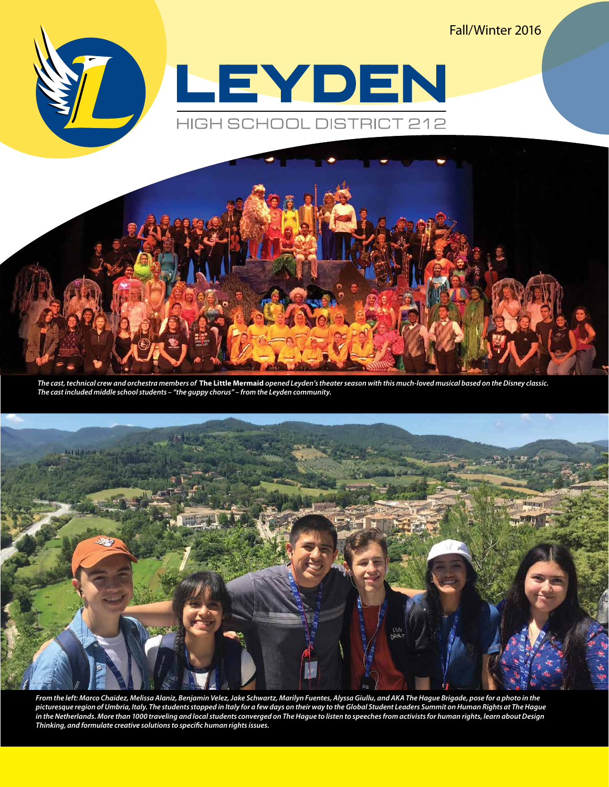Fall/Winter 2016





*The cast, technical crew and orchestra members of* **The Little Mermaid** *opened Leyden's theater season with this much-loved musical based on the Disney classic. The cast included middle school students – "the guppy chorus" – from the Leyden community.* 



*From the left: Marco Chaidez, Melissa Alaniz, Benjamin Velez, Jake Schwartz, Marilyn Fuentes, Alyssa Giullu, and AKA The Hague Brigade, pose for a photo in the picturesque region of Umbria, Italy. The students stopped in Italy for a few days on their way to the Global Student Leaders Summit on Human Rights at The Hague in the Netherlands. More than 1000 traveling and local students converged on The Hague to listen to speeches from activists for human rights, learn about Design Thinking, and formulate creative solutions to specific human rights issues.*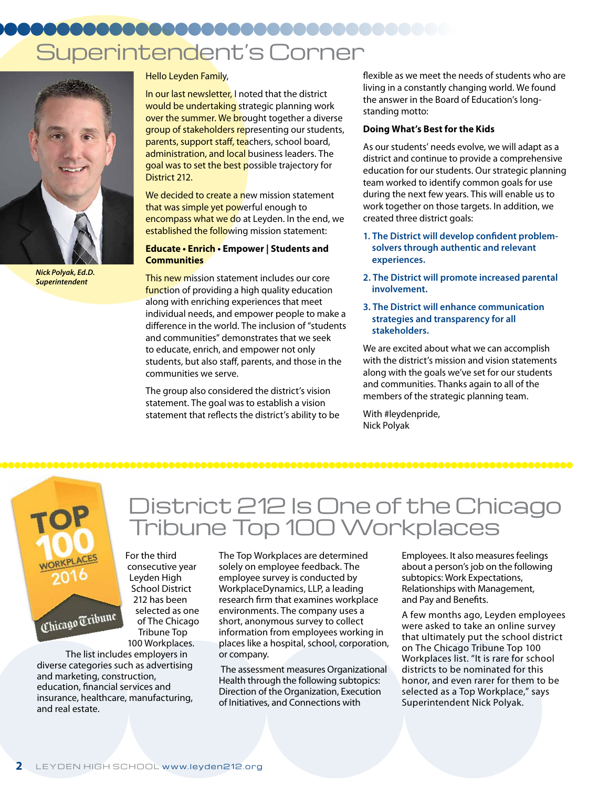## Superintendent's Corner



*Nick Polyak, Ed.D. Superintendent*

Hello Leyden Family,

In our last newsletter, I noted that the district would be undertaking strategic planning work over the summer. We brought together a diverse group of stakeholders representing our students, parents, support staff, teachers, school board, administration, and local business leaders. The goal was to set the best possible trajectory for District 212.

We decided to create a new mission statement that was simple yet powerful enough to encompass what we do at Leyden. In the end, we established the following mission statement:

#### **Educate • Enrich • Empower | Students and Communities**

This new mission statement includes our core function of providing a high quality education along with enriching experiences that meet individual needs, and empower people to make a difference in the world. The inclusion of "students and communities" demonstrates that we seek to educate, enrich, and empower not only students, but also staff, parents, and those in the communities we serve.

The group also considered the district's vision statement. The goal was to establish a vision statement that reflects the district's ability to be flexible as we meet the needs of students who are living in a constantly changing world. We found the answer in the Board of Education's longstanding motto:

#### **Doing What's Best for the Kids**

As our students' needs evolve, we will adapt as a district and continue to provide a comprehensive education for our students. Our strategic planning team worked to identify common goals for use during the next few years. This will enable us to work together on those targets. In addition, we created three district goals:

- **1. The District will develop confident problemsolvers through authentic and relevant experiences.**
- **2. The District will promote increased parental involvement.**
- **3. The District will enhance communication strategies and transparency for all stakeholders.**

We are excited about what we can accomplish with the district's mission and vision statements along with the goals we've set for our students and communities. Thanks again to all of the members of the strategic planning team.

With #leydenpride, Nick Polyak



## District 212 Is One of the Chicago Tribune Top 100 Workplaces

For the third consecutive year Leyden High School District 212 has been selected as one of The Chicago Tribune Top 100 Workplaces.

The list includes employers in diverse categories such as advertising and marketing, construction, education, financial services and insurance, healthcare, manufacturing, and real estate.

The Top Workplaces are determined solely on employee feedback. The employee survey is conducted by WorkplaceDynamics, LLP, a leading research firm that examines workplace environments. The company uses a short, anonymous survey to collect information from employees working in places like a hospital, school, corporation, or company.

 The assessment measures Organizational Health through the following subtopics: Direction of the Organization, Execution of Initiatives, and Connections with

Employees. It also measures feelings about a person's job on the following subtopics: Work Expectations, Relationships with Management, and Pay and Benefits.

A few months ago, Leyden employees were asked to take an online survey that ultimately put the school district on The Chicago Tribune Top 100 Workplaces list. "It is rare for school districts to be nominated for this honor, and even rarer for them to be selected as a Top Workplace," says Superintendent Nick Polyak.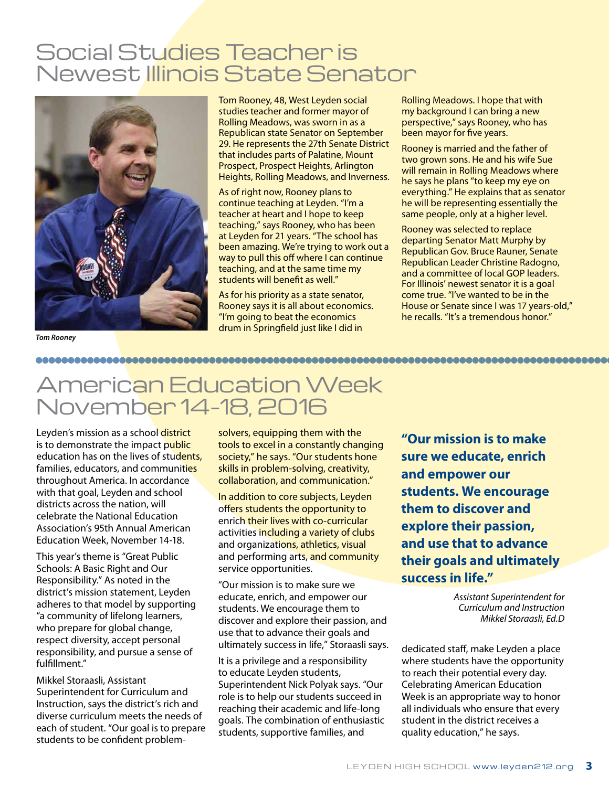## Social Studies Teacher is Newest Illinois State Senator



Tom Rooney, 48, West Leyden social studies teacher and former mayor of Rolling Meadows, was sworn in as a Republican state Senator on September 29. He represents the 27th Senate District that includes parts of Palatine, Mount Prospect, Prospect Heights, Arlington Heights, Rolling Meadows, and Inverness.

As of right now, Rooney plans to continue teaching at Leyden. "I'm a teacher at heart and I hope to keep teaching," says Rooney, who has been at Leyden for 21 years. "The school has been amazing. We're trying to work out a way to pull this off where I can continue teaching, and at the same time my students will benefit as well."

As for his priority as a state senator, Rooney says it is all about economics. "I'm going to beat the economics drum in Springfield just like I did in

Rolling Meadows. I hope that with my background I can bring a new perspective," says Rooney, who has been mayor for five years.

Rooney is married and the father of two grown sons. He and his wife Sue will remain in Rolling Meadows where he says he plans "to keep my eye on everything." He explains that as senator he will be representing essentially the same people, only at a higher level.

Rooney was selected to replace departing Senator Matt Murphy by Republican Gov. Bruce Rauner, Senate Republican Leader Christine Radogno, and a committee of local GOP leaders. For Illinois' newest senator it is a goal come true. "I've wanted to be in the House or Senate since I was 17 years-old," he recalls. "It's a tremendous honor."

*Tom Rooney*

## American Education Week November 14-18, 2016

Leyden's mission as a school district is to demonstrate the impact public education has on the lives of students, families, educators, and communities throughout America. In accordance with that goal, Leyden and school districts across the nation, will celebrate the National Education Association's 95th Annual American Education Week, November 14-18.

This year's theme is "Great Public Schools: A Basic Right and Our Responsibility." As noted in the district's mission statement, Leyden adheres to that model by supporting "a community of lifelong learners, who prepare for global change, respect diversity, accept personal responsibility, and pursue a sense of fulfillment."

Mikkel Storaasli, Assistant Superintendent for Curriculum and Instruction, says the district's rich and diverse curriculum meets the needs of each of student. "Our goal is to prepare students to be confident problemsolvers, equipping them with the tools to excel in a constantly changing society," he says. "Our students hone skills in problem-solving, creativity, collaboration, and communication."

In addition to core subjects, Leyden offers students the opportunity to enrich their lives with co-curricular activities including a variety of clubs and organizations, athletics, visual and performing arts, and community service opportunities.

"Our mission is to make sure we educate, enrich, and empower our students. We encourage them to discover and explore their passion, and use that to advance their goals and ultimately success in life," Storaasli says.

It is a privilege and a responsibility to educate Leyden students, Superintendent Nick Polyak says. "Our role is to help our students succeed in reaching their academic and life-long goals. The combination of enthusiastic students, supportive families, and

**"Our mission is to make sure we educate, enrich and empower our students. We encourage them to discover and explore their passion, and use that to advance their goals and ultimately success in life."**

> *Assistant Superintendent for Curriculum and Instruction Mikkel Storaasli, Ed.D*

dedicated staff, make Leyden a place where students have the opportunity to reach their potential every day. Celebrating American Education Week is an appropriate way to honor all individuals who ensure that every student in the district receives a quality education," he says.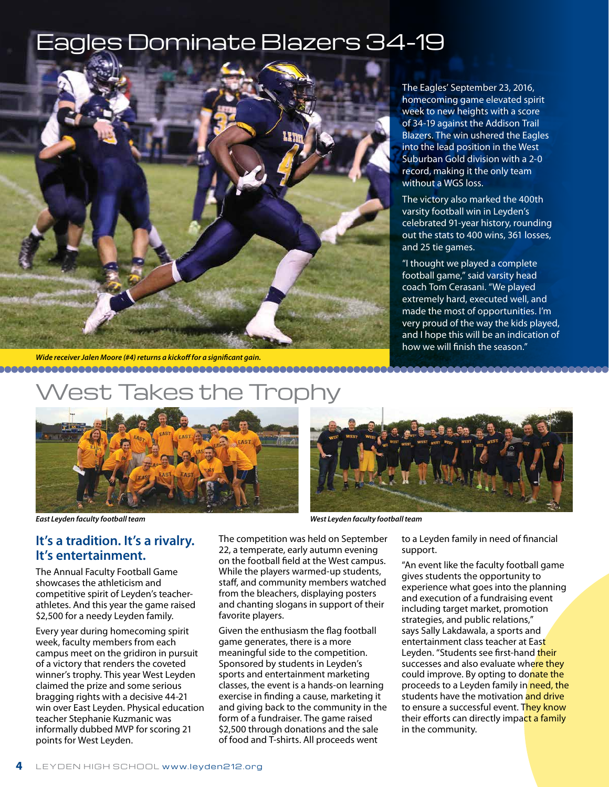## les Dominate Blazers 34-19



The Eagles' September 23, 2016, homecoming game elevated spirit week to new heights with a score of 34-19 against the Addison Trail Blazers. The win ushered the Eagles into the lead position in the West Suburban Gold division with a 2-0 record, making it the only team without a WGS loss.

The victory also marked the 400th varsity football win in Leyden's celebrated 91-year history, rounding out the stats to 400 wins, 361 losses, and 25 tie games.

"I thought we played a complete football game," said varsity head coach Tom Cerasani. "We played extremely hard, executed well, and made the most of opportunities. I'm very proud of the way the kids played, and I hope this will be an indication of how we will finish the season."

*Wide receiver Jalen Moore (#4) returns a kickoff for a significant gain.*

## akes the





*East Leyden faculty football team West Leyden faculty football team*

#### **It's a tradition. It's a rivalry. It's entertainment.**

The Annual Faculty Football Game showcases the athleticism and competitive spirit of Leyden's teacherathletes. And this year the game raised \$2,500 for a needy Leyden family.

Every year during homecoming spirit week, faculty members from each campus meet on the gridiron in pursuit of a victory that renders the coveted winner's trophy. This year West Leyden claimed the prize and some serious bragging rights with a decisive 44-21 win over East Leyden. Physical education teacher Stephanie Kuzmanic was informally dubbed MVP for scoring 21 points for West Leyden.

The competition was held on September 22, a temperate, early autumn evening on the football field at the West campus. While the players warmed-up students, staff, and community members watched from the bleachers, displaying posters and chanting slogans in support of their favorite players.

Given the enthusiasm the flag football game generates, there is a more meaningful side to the competition. Sponsored by students in Leyden's sports and entertainment marketing classes, the event is a hands-on learning exercise in finding a cause, marketing it and giving back to the community in the form of a fundraiser. The game raised \$2,500 through donations and the sale of food and T-shirts. All proceeds went

to a Leyden family in need of financial support.

"An event like the faculty football game gives students the opportunity to experience what goes into the planning and execution of a fundraising event including target market, promotion strategies, and public relations," says Sally Lakdawala, a sports and entertainment class teacher at East Leyden. "Students see first-hand their successes and also evaluate where they could improve. By opting to donate the proceeds to a Leyden family in need, the students have the motivation and drive to ensure a successful event. They know their efforts can directly impact a family in the community.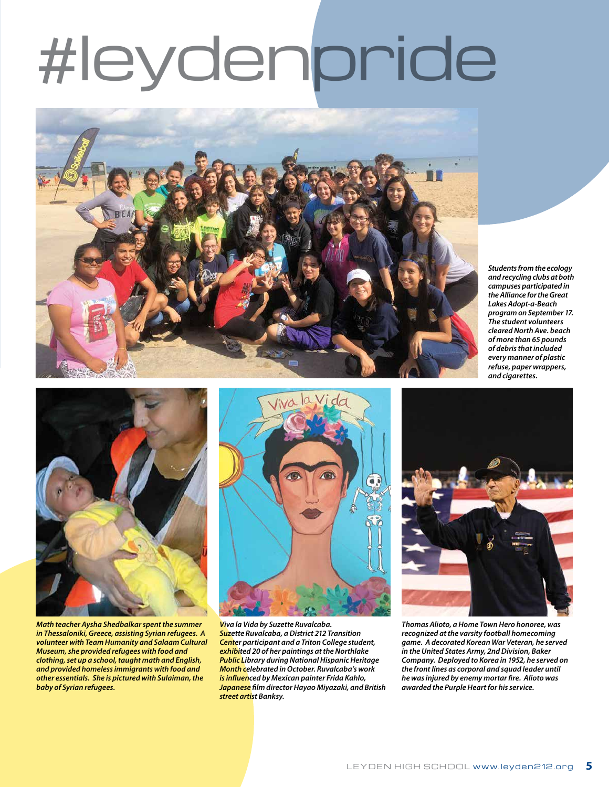# #leydenpride



*Students from the ecology and recycling clubs at both campuses participated in the Alliance for the Great Lakes Adopt-a-Beach program on September 17. The student volunteers cleared North Ave. beach of more than 65 pounds of debris that included every manner of plastic refuse, paper wrappers, and cigarettes.*



*Math teacher Aysha Shedbalkar spent the summer in Thessaloniki, Greece, assisting Syrian refugees. A volunteer with Team Humanity and Salaam Cultural Museum, she provided refugees with food and clothing, set up a school, taught math and English, and provided homeless immigrants with food and other essentials. She is pictured with Sulaiman, the baby of Syrian refugees.*



*Viva la Vida by Suzette Ruvalcaba. Suzette Ruvalcaba, a District 212 Transition Center participant and a Triton College student, exhibited 20 of her paintings at the Northlake Public Library during National Hispanic Heritage Month celebrated in October. Ruvalcaba's work is influenced by Mexican painter Frida Kahlo, Japanese film director Hayao Miyazaki, and British street artist Banksy.* 



*Thomas Alioto, a Home Town Hero honoree, was recognized at the varsity football homecoming game. A decorated Korean War Veteran, he served in the United States Army, 2nd Division, Baker Company. Deployed to Korea in 1952, he served on the front lines as corporal and squad leader until he was injured by enemy mortar fire. Alioto was awarded the Purple Heart for his service.*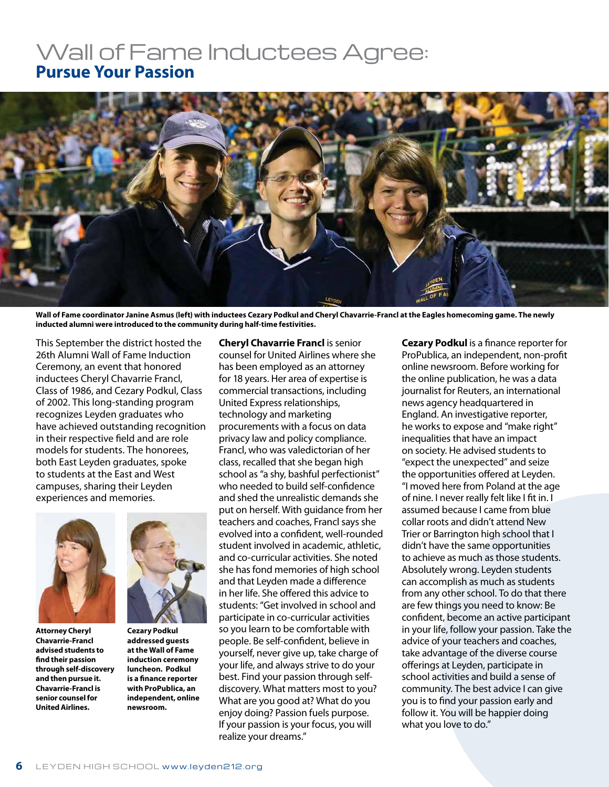### Wall of Fame Inductees Agree: **Pursue Your Passion**



**Wall of Fame coordinator Janine Asmus (left) with inductees Cezary Podkul and Cheryl Chavarrie-Francl at the Eagles homecoming game. The newly inducted alumni were introduced to the community during half-time festivities.**

This September the district hosted the 26th Alumni Wall of Fame Induction Ceremony, an event that honored inductees Cheryl Chavarrie Francl, Class of 1986, and Cezary Podkul, Class of 2002. This long-standing program recognizes Leyden graduates who have achieved outstanding recognition in their respective field and are role models for students. The honorees, both East Leyden graduates, spoke to students at the East and West campuses, sharing their Leyden experiences and memories.



**Attorney Cheryl Chavarrie-Francl advised students to find their passion through self-discovery and then pursue it. Chavarrie-Francl is senior counsel for United Airlines.**



**Cezary Podkul addressed guests at the Wall of Fame induction ceremony luncheon. Podkul is a finance reporter with ProPublica, an independent, online newsroom.** 

**Cheryl Chavarrie Francl** is senior counsel for United Airlines where she has been employed as an attorney for 18 years. Her area of expertise is commercial transactions, including United Express relationships, technology and marketing procurements with a focus on data privacy law and policy compliance. Francl, who was valedictorian of her class, recalled that she began high school as "a shy, bashful perfectionist" who needed to build self-confidence and shed the unrealistic demands she put on herself. With guidance from her teachers and coaches, Francl says she evolved into a confident, well-rounded student involved in academic, athletic, and co-curricular activities. She noted she has fond memories of high school and that Leyden made a difference in her life. She offered this advice to students: "Get involved in school and participate in co-curricular activities so you learn to be comfortable with people. Be self-confident, believe in yourself, never give up, take charge of your life, and always strive to do your best. Find your passion through selfdiscovery. What matters most to you? What are you good at? What do you enjoy doing? Passion fuels purpose. If your passion is your focus, you will realize your dreams."

**Cezary Podkul** is a finance reporter for ProPublica, an independent, non-profit online newsroom. Before working for the online publication, he was a data journalist for Reuters, an international news agency headquartered in England. An investigative reporter, he works to expose and "make right" inequalities that have an impact on society. He advised students to "expect the unexpected" and seize the opportunities offered at Leyden. "I moved here from Poland at the age of nine. I never really felt like I fit in. I assumed because I came from blue collar roots and didn't attend New Trier or Barrington high school that I didn't have the same opportunities to achieve as much as those students. Absolutely wrong. Leyden students can accomplish as much as students from any other school. To do that there are few things you need to know: Be confident, become an active participant in your life, follow your passion. Take the advice of your teachers and coaches, take advantage of the diverse course offerings at Leyden, participate in school activities and build a sense of community. The best advice I can give you is to find your passion early and follow it. You will be happier doing what you love to do."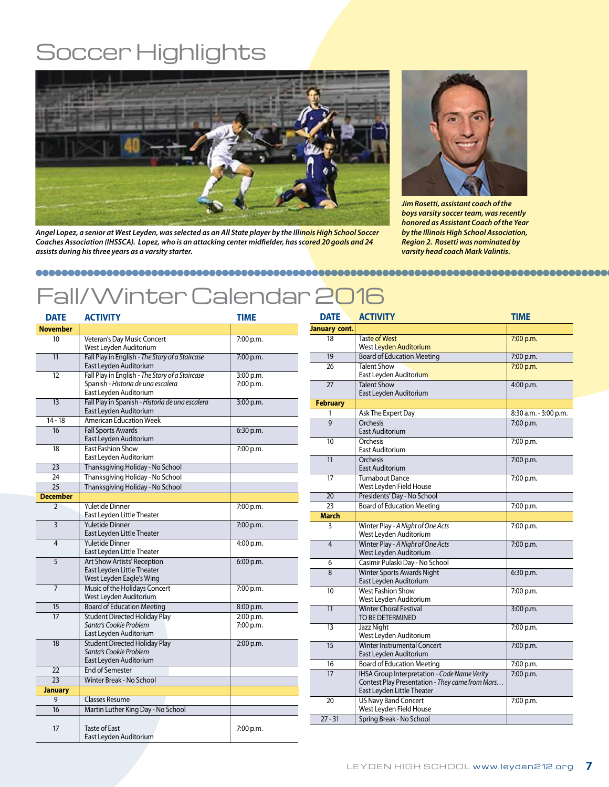## Soccer Highlights



*Angel Lopez, a senior at West Leyden, was selected as an All State player by the Illinois High School Soccer Coaches Association (IHSSCA). Lopez, who is an attacking center midfielder, has scored 20 goals and 24 assists during his three years as a varsity starter.*



*Jim Rosetti, assistant coach of the boys varsity soccer team, was recently honored as Assistant Coach of the Year by the Illinois High School Association, Region 2. Rosetti was nominated by varsity head coach Mark Valintis.*

## Fall/Winter Calendar 2016

| <b>DATE</b>     | <b>ACTIVITY</b>                                                                                                 | <b>TIME</b>            |
|-----------------|-----------------------------------------------------------------------------------------------------------------|------------------------|
| <b>November</b> |                                                                                                                 |                        |
| 10              | Veteran's Day Music Concert<br>West Leyden Auditorium                                                           | 7:00 p.m.              |
| 11              | Fall Play in English - The Story of a Staircase<br>East Leyden Auditorium                                       | 7:00 p.m.              |
| 12              | Fall Play in English - The Story of a Staircase<br>Spanish - Historia de una escalera<br>East Leyden Auditorium | 3:00 p.m.<br>7:00 p.m. |
| 13              | Fall Play in Spanish - Historia de una escalera<br>East Leyden Auditorium                                       | 3:00 p.m.              |
| 14 - 18         | <b>American Education Week</b>                                                                                  |                        |
| 16              | <b>Fall Sports Awards</b><br>East Leyden Auditorium                                                             | 6:30 p.m.              |
| 18              | <b>East Fashion Show</b><br>East Leyden Auditorium                                                              | 7:00 p.m.              |
| 23              | Thanksgiving Holiday - No School                                                                                |                        |
| 24              | Thanksgiving Holiday - No School                                                                                |                        |
| $\overline{25}$ | Thanksgiving Holiday - No School                                                                                |                        |
| <b>December</b> |                                                                                                                 |                        |
| $\overline{2}$  | <b>Yuletide Dinner</b><br>East Leyden Little Theater                                                            | 7:00 p.m.              |
| 3               | <b>Yuletide Dinner</b><br>East Leyden Little Theater                                                            | 7:00 p.m.              |
| $\overline{4}$  | <b>Yuletide Dinner</b><br>East Leyden Little Theater                                                            | 4:00 p.m.              |
| 5               | <b>Art Show Artists' Reception</b><br>East Leyden Little Theater<br>West Leyden Eagle's Wing                    | 6:00 p.m.              |
| $\overline{7}$  | Music of the Holidays Concert<br>West Leyden Auditorium                                                         | 7:00 p.m.              |
| 15              | <b>Board of Education Meeting</b>                                                                               | 8:00 p.m.              |
| 17              | <b>Student Directed Holiday Play</b><br>Santa's Cookie Problem<br>East Leyden Auditorium                        | 2:00 p.m.<br>7:00 p.m. |
| 18              | <b>Student Directed Holiday Play</b><br>Santa's Cookie Problem<br>East Leyden Auditorium                        | 2:00 p.m.              |
| 22              | <b>End of Semester</b>                                                                                          |                        |
| 23              | Winter Break - No School                                                                                        |                        |
| <b>January</b>  |                                                                                                                 |                        |
| $\overline{9}$  | <b>Classes Resume</b>                                                                                           |                        |
| 16              | Martin Luther King Day - No School                                                                              |                        |
| 17              | <b>Taste of East</b><br>East Leyden Auditorium                                                                  | 7:00 p.m.              |

| <b>DATE</b>     | <b>ACTIVITY</b>                                                                                                               | <b>TIME</b>           |
|-----------------|-------------------------------------------------------------------------------------------------------------------------------|-----------------------|
| January cont.   |                                                                                                                               |                       |
| 18              | <b>Taste of West</b><br>West Leyden Auditorium                                                                                | 7:00 p.m.             |
| $\overline{19}$ | <b>Board of Education Meeting</b>                                                                                             | 7:00 p.m.             |
| 26              | <b>Talent Show</b><br>East Leyden Auditorium                                                                                  | 7:00 p.m.             |
| 27              | <b>Talent Show</b><br>East Leyden Auditorium                                                                                  | 4:00 p.m.             |
| <b>February</b> |                                                                                                                               |                       |
| 1               | Ask The Expert Day                                                                                                            | 8:30 a.m. - 3:00 p.m. |
| $\overline{9}$  | Orchesis<br>East Auditorium                                                                                                   | 7:00 p.m.             |
| 10              | Orchesis<br>East Auditorium                                                                                                   | 7:00 p.m.             |
| 11              | Orchesis<br>East Auditorium                                                                                                   | 7:00 p.m.             |
| 17              | <b>Turnabout Dance</b><br>West Leyden Field House                                                                             | 7:00 p.m.             |
| 20              | Presidents' Day - No School                                                                                                   |                       |
| 23              | <b>Board of Education Meeting</b>                                                                                             | 7:00 p.m.             |
| <b>March</b>    |                                                                                                                               |                       |
| 3               | Winter Play - A Night of One Acts<br>West Leyden Auditorium                                                                   | 7:00 p.m.             |
| $\overline{4}$  | Winter Play - A Night of One Acts<br>West Leyden Auditorium                                                                   | 7:00 p.m.             |
| 6               | Casimir Pulaski Day - No School                                                                                               |                       |
| 8               | <b>Winter Sports Awards Night</b><br>East Leyden Auditorium                                                                   | 6:30 p.m.             |
| 10              | <b>West Fashion Show</b><br>West Leyden Auditorium                                                                            | 7:00 p.m.             |
| 11              | <b>Winter Choral Festival</b><br>TO BE DETERMINED                                                                             | 3:00 p.m.             |
| 13              | Jazz Night<br>West Leyden Auditorium                                                                                          | 7:00 p.m.             |
| 15              | <b>Winter Instrumental Concert</b><br>East Leyden Auditorium                                                                  | 7:00 p.m.             |
| 16              | <b>Board of Education Meeting</b>                                                                                             | 7:00 p.m.             |
| 17              | IHSA Group Interpretation - Code Name Verity<br>Contest Play Presentation - They came from Mars<br>East Leyden Little Theater | 7:00 p.m.             |
| 20              | <b>US Navy Band Concert</b><br>West Leyden Field House                                                                        | 7:00 p.m.             |
| $27 - 31$       | Spring Break - No School                                                                                                      |                       |